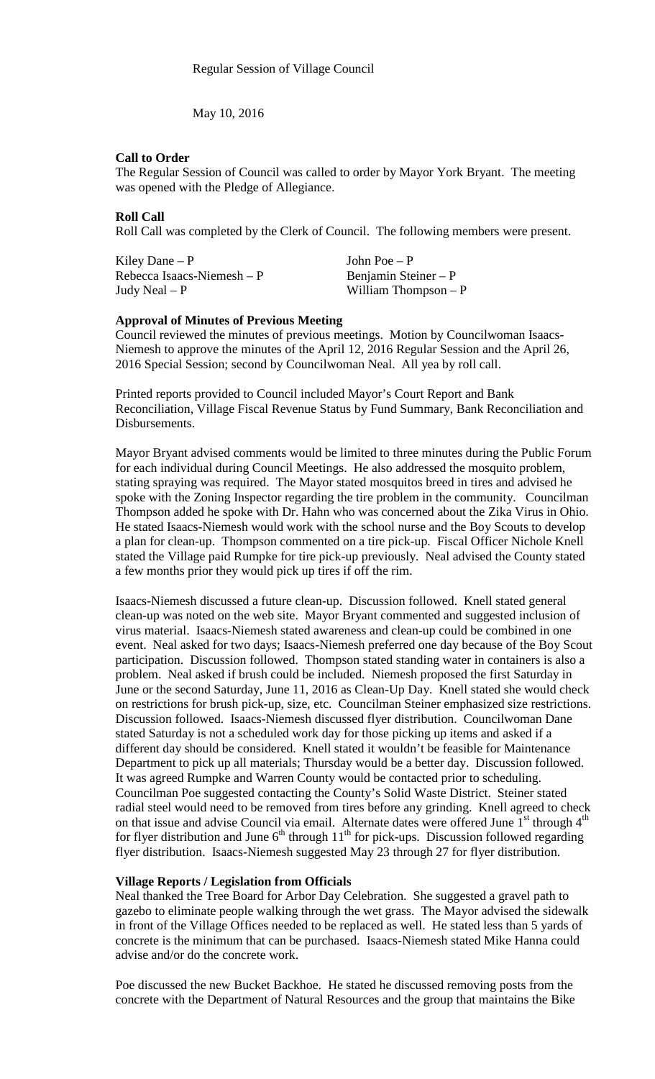May 10, 2016

# **Call to Order**

The Regular Session of Council was called to order by Mayor York Bryant. The meeting was opened with the Pledge of Allegiance.

# **Roll Call**

Roll Call was completed by the Clerk of Council. The following members were present.

Kiley Dane – P  $\qquad \qquad$  John Poe – P Rebecca Isaacs-Niemesh – P Benjamin Steiner – P<br>Judy Neal – P William Thompson –

William Thompson  $- P$ 

# **Approval of Minutes of Previous Meeting**

Council reviewed the minutes of previous meetings. Motion by Councilwoman Isaacs-Niemesh to approve the minutes of the April 12, 2016 Regular Session and the April 26, 2016 Special Session; second by Councilwoman Neal. All yea by roll call.

Printed reports provided to Council included Mayor's Court Report and Bank Reconciliation, Village Fiscal Revenue Status by Fund Summary, Bank Reconciliation and Disbursements.

Mayor Bryant advised comments would be limited to three minutes during the Public Forum for each individual during Council Meetings. He also addressed the mosquito problem, stating spraying was required. The Mayor stated mosquitos breed in tires and advised he spoke with the Zoning Inspector regarding the tire problem in the community. Councilman Thompson added he spoke with Dr. Hahn who was concerned about the Zika Virus in Ohio. He stated Isaacs-Niemesh would work with the school nurse and the Boy Scouts to develop a plan for clean-up. Thompson commented on a tire pick-up. Fiscal Officer Nichole Knell stated the Village paid Rumpke for tire pick-up previously. Neal advised the County stated a few months prior they would pick up tires if off the rim.

Isaacs-Niemesh discussed a future clean-up. Discussion followed. Knell stated general clean-up was noted on the web site. Mayor Bryant commented and suggested inclusion of virus material. Isaacs-Niemesh stated awareness and clean-up could be combined in one event. Neal asked for two days; Isaacs-Niemesh preferred one day because of the Boy Scout participation. Discussion followed. Thompson stated standing water in containers is also a problem. Neal asked if brush could be included. Niemesh proposed the first Saturday in June or the second Saturday, June 11, 2016 as Clean-Up Day. Knell stated she would check on restrictions for brush pick-up, size, etc. Councilman Steiner emphasized size restrictions. Discussion followed. Isaacs-Niemesh discussed flyer distribution. Councilwoman Dane stated Saturday is not a scheduled work day for those picking up items and asked if a different day should be considered. Knell stated it wouldn't be feasible for Maintenance Department to pick up all materials; Thursday would be a better day. Discussion followed. It was agreed Rumpke and Warren County would be contacted prior to scheduling. Councilman Poe suggested contacting the County's Solid Waste District. Steiner stated radial steel would need to be removed from tires before any grinding. Knell agreed to check on that issue and advise Council via email. Alternate dates were offered June  $1<sup>st</sup>$  through  $4<sup>th</sup>$ for flyer distribution and June  $6<sup>th</sup>$  through  $11<sup>th</sup>$  for pick-ups. Discussion followed regarding flyer distribution. Isaacs-Niemesh suggested May 23 through 27 for flyer distribution.

# **Village Reports / Legislation from Officials**

Neal thanked the Tree Board for Arbor Day Celebration. She suggested a gravel path to gazebo to eliminate people walking through the wet grass. The Mayor advised the sidewalk in front of the Village Offices needed to be replaced as well. He stated less than 5 yards of concrete is the minimum that can be purchased. Isaacs-Niemesh stated Mike Hanna could advise and/or do the concrete work.

Poe discussed the new Bucket Backhoe. He stated he discussed removing posts from the concrete with the Department of Natural Resources and the group that maintains the Bike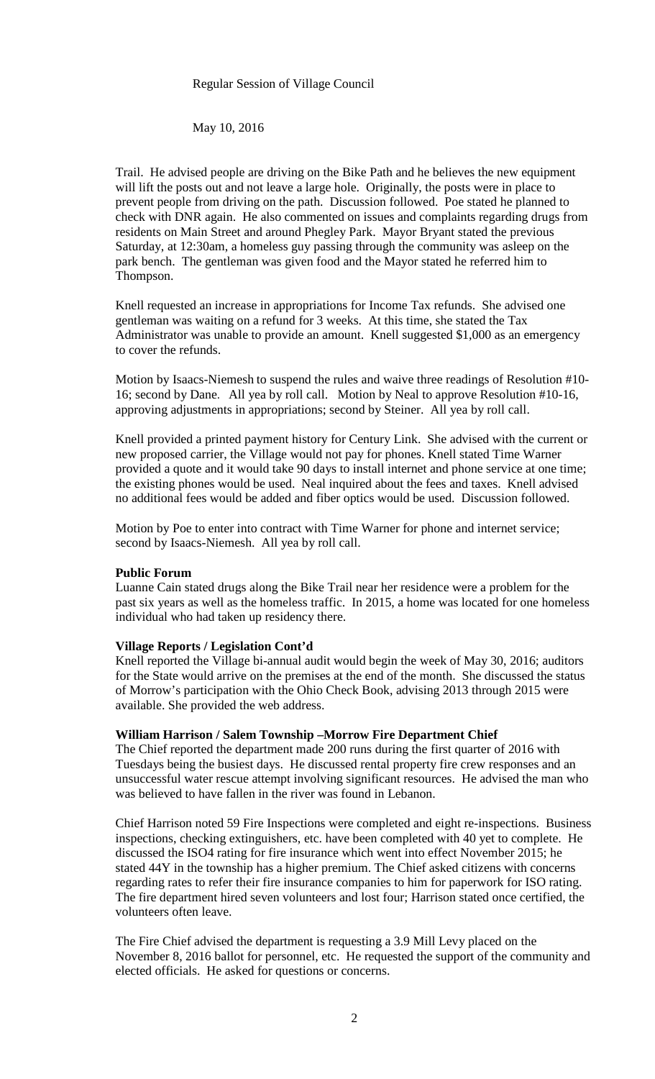May 10, 2016

Trail. He advised people are driving on the Bike Path and he believes the new equipment will lift the posts out and not leave a large hole. Originally, the posts were in place to prevent people from driving on the path. Discussion followed. Poe stated he planned to check with DNR again. He also commented on issues and complaints regarding drugs from residents on Main Street and around Phegley Park. Mayor Bryant stated the previous Saturday, at 12:30am, a homeless guy passing through the community was asleep on the park bench. The gentleman was given food and the Mayor stated he referred him to Thompson.

Knell requested an increase in appropriations for Income Tax refunds. She advised one gentleman was waiting on a refund for 3 weeks. At this time, she stated the Tax Administrator was unable to provide an amount. Knell suggested \$1,000 as an emergency to cover the refunds.

Motion by Isaacs-Niemesh to suspend the rules and waive three readings of Resolution #10- 16; second by Dane. All yea by roll call. Motion by Neal to approve Resolution #10-16, approving adjustments in appropriations; second by Steiner. All yea by roll call.

Knell provided a printed payment history for Century Link. She advised with the current or new proposed carrier, the Village would not pay for phones. Knell stated Time Warner provided a quote and it would take 90 days to install internet and phone service at one time; the existing phones would be used. Neal inquired about the fees and taxes. Knell advised no additional fees would be added and fiber optics would be used. Discussion followed.

Motion by Poe to enter into contract with Time Warner for phone and internet service; second by Isaacs-Niemesh. All yea by roll call.

# **Public Forum**

Luanne Cain stated drugs along the Bike Trail near her residence were a problem for the past six years as well as the homeless traffic. In 2015, a home was located for one homeless individual who had taken up residency there.

#### **Village Reports / Legislation Cont'd**

Knell reported the Village bi-annual audit would begin the week of May 30, 2016; auditors for the State would arrive on the premises at the end of the month. She discussed the status of Morrow's participation with the Ohio Check Book, advising 2013 through 2015 were available. She provided the web address.

# **William Harrison / Salem Township –Morrow Fire Department Chief**

The Chief reported the department made 200 runs during the first quarter of 2016 with Tuesdays being the busiest days. He discussed rental property fire crew responses and an unsuccessful water rescue attempt involving significant resources. He advised the man who was believed to have fallen in the river was found in Lebanon.

Chief Harrison noted 59 Fire Inspections were completed and eight re-inspections. Business inspections, checking extinguishers, etc. have been completed with 40 yet to complete. He discussed the ISO4 rating for fire insurance which went into effect November 2015; he stated 44Y in the township has a higher premium. The Chief asked citizens with concerns regarding rates to refer their fire insurance companies to him for paperwork for ISO rating. The fire department hired seven volunteers and lost four; Harrison stated once certified, the volunteers often leave.

The Fire Chief advised the department is requesting a 3.9 Mill Levy placed on the November 8, 2016 ballot for personnel, etc. He requested the support of the community and elected officials. He asked for questions or concerns.